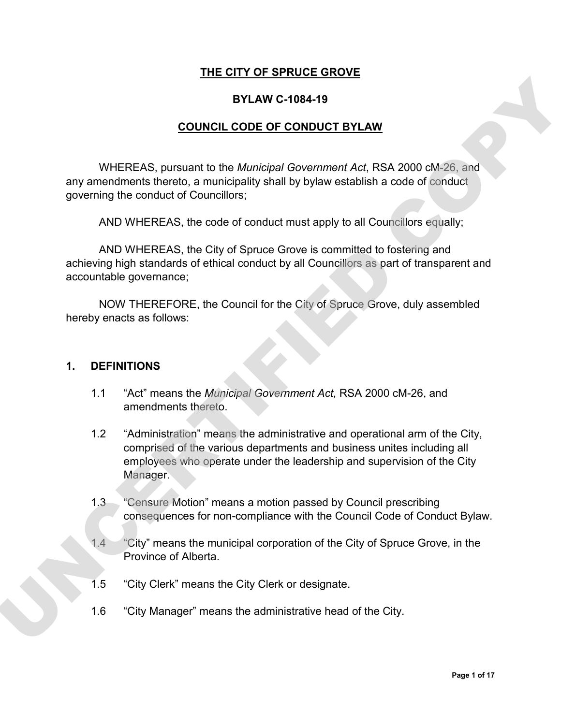#### **THE CITY OF SPRUCE GROVE**

#### **BYLAW C-1084-19**

#### **COUNCIL CODE OF CONDUCT BYLAW**

WHEREAS, pursuant to the *Municipal Government Act*, RSA 2000 cM-26, and any amendments thereto, a municipality shall by bylaw establish a code of conduct governing the conduct of Councillors;

AND WHEREAS, the code of conduct must apply to all Councillors equally;

AND WHEREAS, the City of Spruce Grove is committed to fostering and achieving high standards of ethical conduct by all Councillors as part of transparent and accountable governance;

NOW THEREFORE, the Council for the City of Spruce Grove, duly assembled hereby enacts as follows:

#### **1. DEFINITIONS**

- 1.1 "Act" means the *Municipal Government Act,* RSA 2000 cM-26, and amendments thereto.
- 1.2 "Administration" means the administrative and operational arm of the City, comprised of the various departments and business unites including all employees who operate under the leadership and supervision of the City Manager. **EXAMPLE THEAS, pursuant to the** *Municipal Government Act***, RSA 2000 dM-26, and<br>
WHEREAS, pursuant to the** *Municipal Government Act***, RSA 2000 dM-26, and<br>
any amendments thereo, o municipally shall by bytwe establish a cod** 
	- 1.3 "Censure Motion" means a motion passed by Council prescribing consequences for non-compliance with the Council Code of Conduct Bylaw.
	- 1.4 "City" means the municipal corporation of the City of Spruce Grove, in the Province of Alberta.
	- 1.5 "City Clerk" means the City Clerk or designate.
	- 1.6 "City Manager" means the administrative head of the City.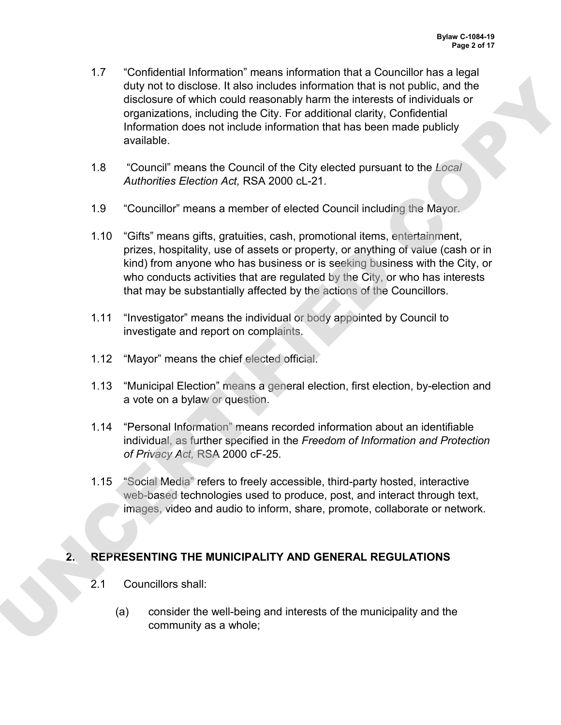- 1.7 "Confidential Information" means information that a Councillor has a legal duty not to disclose. It also includes information that is not public, and the disclosure of which could reasonably harm the interests of individuals or organizations, including the City. For additional clarity, Confidential Information does not include information that has been made publicly available. diplomation disclosics. It also included information that is not public, and the matricular disclosure of which could researchly harm the interests of individuals or<br>organizations, including the COV, for additional class,
	- 1.8 "Council" means the Council of the City elected pursuant to the *Local Authorities Election Act,* RSA 2000 cL-21.
	- 1.9 "Councillor" means a member of elected Council including the Mayor.
	- 1.10 "Gifts" means gifts, gratuities, cash, promotional items, entertainment, prizes, hospitality, use of assets or property, or anything of value (cash or in kind) from anyone who has business or is seeking business with the City, or who conducts activities that are regulated by the City, or who has interests that may be substantially affected by the actions of the Councillors.
	- 1.11 "Investigator" means the individual or body appointed by Council to investigate and report on complaints.
	- 1.12 "Mayor" means the chief elected official.
	- 1.13 "Municipal Election" means a general election, first election, by-election and a vote on a bylaw or question.
	- 1.14 "Personal Information" means recorded information about an identifiable individual, as further specified in the *Freedom of Information and Protection of Privacy Act,* RSA 2000 cF-25.
	- 1.15 "Social Media" refers to freely accessible, third-party hosted, interactive web-based technologies used to produce, post, and interact through text, images, video and audio to inform, share, promote, collaborate or network.

### **2. REPRESENTING THE MUNICIPALITY AND GENERAL REGULATIONS**

- 2.1 Councillors shall:
	- (a) consider the well-being and interests of the municipality and the community as a whole;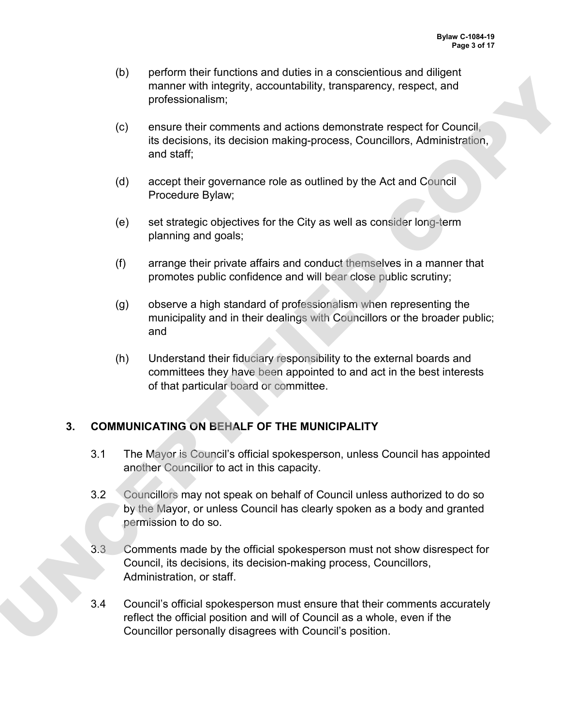- (b) perform their functions and duties in a conscientious and diligent manner with integrity, accountability, transparency, respect, and professionalism;
- (c) ensure their comments and actions demonstrate respect for Council, its decisions, its decision making-process, Councillors, Administration, and staff;
- (d) accept their governance role as outlined by the Act and Council Procedure Bylaw;
- (e) set strategic objectives for the City as well as consider long-term planning and goals;
- (f) arrange their private affairs and conduct themselves in a manner that promotes public confidence and will bear close public scrutiny;
- (g) observe a high standard of professionalism when representing the municipality and in their dealings with Councillors or the broader public; and
- (h) Understand their fiduciary responsibility to the external boards and committees they have been appointed to and act in the best interests of that particular board or committee.

# **3. COMMUNICATING ON BEHALF OF THE MUNICIPALITY**

- 3.1 The Mayor is Council's official spokesperson, unless Council has appointed another Councillor to act in this capacity.
- 3.2 Councillors may not speak on behalf of Council unless authorized to do so by the Mayor, or unless Council has clearly spoken as a body and granted permission to do so.
- 3.3 Comments made by the official spokesperson must not show disrespect for Council, its decisions, its decision-making process, Councillors, Administration, or staff.
- 3.4 Council's official spokesperson must ensure that their comments accurately reflect the official position and will of Council as a whole, even if the mannor with integrity, accountability, transparency, respect and<br>professionalism;<br>the professionalism; accountability, transparency, respect and<br>is decision, its decision making-process. Councillors, Administration,<br>and st Councillor personally disagrees with Council's position.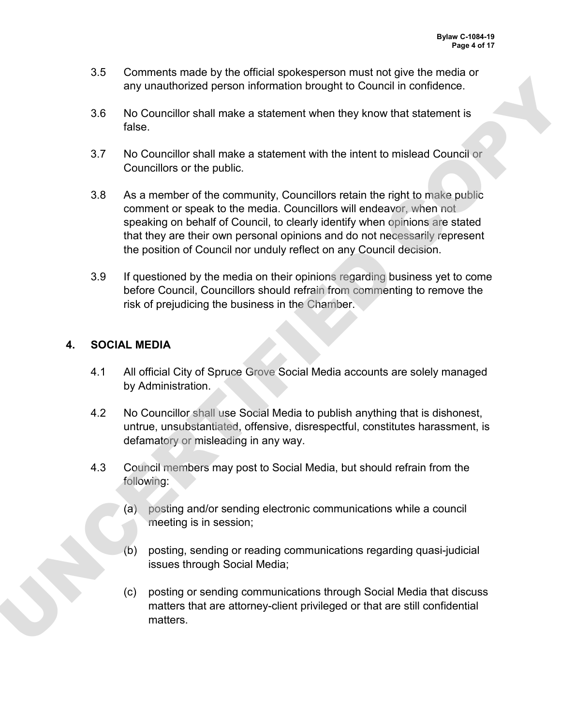- 3.5 Comments made by the official spokesperson must not give the media or any unauthorized person information brought to Council in confidence.
- 3.6 No Councillor shall make a statement when they know that statement is false.
- 3.7 No Councillor shall make a statement with the intent to mislead Council or Councillors or the public.
- 3.8 As a member of the community, Councillors retain the right to make public comment or speak to the media. Councillors will endeavor, when not speaking on behalf of Council, to clearly identify when opinions are stated that they are their own personal opinions and do not necessarily represent the position of Council nor unduly reflect on any Council decision. in the Councillor state and the matter of the condition of the condition of the Mockletter and the Mockletter and the state ment with the internet by known that statement is<br>take.<br>
No Councillors or the public.<br>
23 No Coun
	- 3.9 If questioned by the media on their opinions regarding business yet to come before Council, Councillors should refrain from commenting to remove the risk of prejudicing the business in the Chamber.

## **4. SOCIAL MEDIA**

- 4.1 All official City of Spruce Grove Social Media accounts are solely managed by Administration.
- 4.2 No Councillor shall use Social Media to publish anything that is dishonest, untrue, unsubstantiated, offensive, disrespectful, constitutes harassment, is defamatory or misleading in any way.
- 4.3 Council members may post to Social Media, but should refrain from the following:
	- (a) posting and/or sending electronic communications while a council meeting is in session;
	- (b) posting, sending or reading communications regarding quasi-judicial issues through Social Media;
	- (c) posting or sending communications through Social Media that discuss matters that are attorney-client privileged or that are still confidential matters.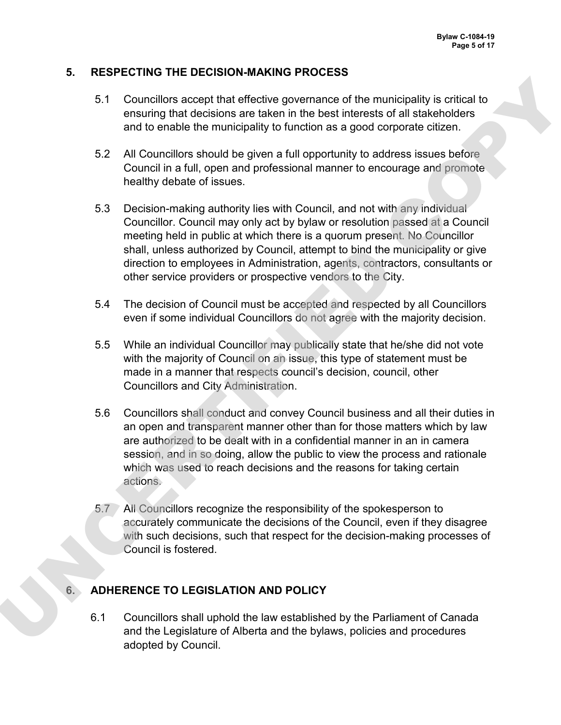#### **5. RESPECTING THE DECISION-MAKING PROCESS**

- 5.1 Councillors accept that effective governance of the municipality is critical to ensuring that decisions are taken in the best interests of all stakeholders and to enable the municipality to function as a good corporate citizen.
- 5.2 All Councillors should be given a full opportunity to address issues before Council in a full, open and professional manner to encourage and promote healthy debate of issues.
- 5.3 Decision-making authority lies with Council, and not with any individual Councillor. Council may only act by bylaw or resolution passed at a Council meeting held in public at which there is a quorum present. No Councillor shall, unless authorized by Council, attempt to bind the municipality or give direction to employees in Administration, agents, contractors, consultants or other service providers or prospective vendors to the City.
- 5.4 The decision of Council must be accepted and respected by all Councillors even if some individual Councillors do not agree with the majority decision.
- 5.5 While an individual Councillor may publically state that he/she did not vote with the majority of Council on an issue, this type of statement must be made in a manner that respects council's decision, council, other Councillors and City Administration.
- 5.6 Councillors shall conduct and convey Council business and all their duties in an open and transparent manner other than for those matters which by law are authorized to be dealt with in a confidential manner in an in camera session, and in so doing, allow the public to view the process and rationale which was used to reach decisions and the reasons for taking certain actions. 5.1 Councillors accept that effective governance of the municipality is critical to<br>ensuring part decisions are basken in the best interests of all state/holders<br>and to enable the municipality to function as a good conpora
	- 5.7 All Councillors recognize the responsibility of the spokesperson to accurately communicate the decisions of the Council, even if they disagree with such decisions, such that respect for the decision-making processes of Council is fostered.

### **6. ADHERENCE TO LEGISLATION AND POLICY**

6.1 Councillors shall uphold the law established by the Parliament of Canada and the Legislature of Alberta and the bylaws, policies and procedures adopted by Council.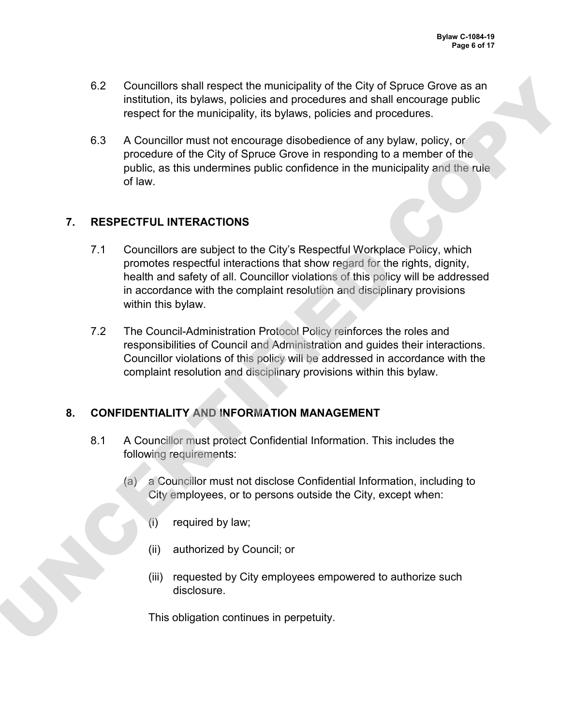- 6.2 Councillors shall respect the municipality of the City of Spruce Grove as an institution, its bylaws, policies and procedures and shall encourage public respect for the municipality, its bylaws, policies and procedures.
- 6.3 A Councillor must not encourage disobedience of any bylaw, policy, or procedure of the City of Spruce Grove in responding to a member of the public, as this undermines public confidence in the municipality and the rule of law.

## **7. RESPECTFUL INTERACTIONS**

- 7.1 Councillors are subject to the City's Respectful Workplace Policy, which promotes respectful interactions that show regard for the rights, dignity, health and safety of all. Councillor violations of this policy will be addressed in accordance with the complaint resolution and disciplinary provisions within this bylaw. 62 Councillors shall respect the municipality of the City of Spuce Grove as an<br>institution, its bytwas, policies and procedures and shall encourage public<br>respect for the municipality, its bytws, policies and procedures.<br>
	- 7.2 The Council-Administration Protocol Policy reinforces the roles and responsibilities of Council and Administration and guides their interactions. Councillor violations of this policy will be addressed in accordance with the complaint resolution and disciplinary provisions within this bylaw.

# **8. CONFIDENTIALITY AND INFORMATION MANAGEMENT**

- 8.1 A Councillor must protect Confidential Information. This includes the following requirements:
	- (a) a Councillor must not disclose Confidential Information, including to City employees, or to persons outside the City, except when:
		- (i) required by law;
		- (ii) authorized by Council; or
		- (iii) requested by City employees empowered to authorize such disclosure.

This obligation continues in perpetuity.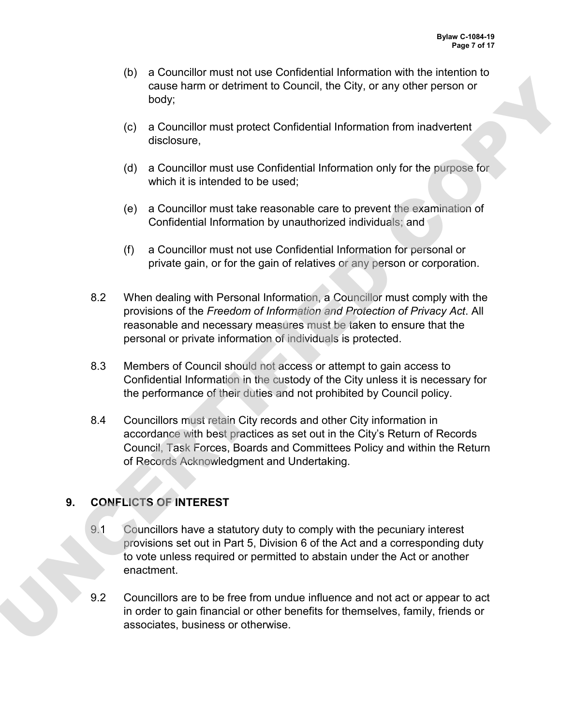- (b) a Councillor must not use Confidential Information with the intention to cause harm or detriment to Council, the City, or any other person or body;
- (c) a Councillor must protect Confidential Information from inadvertent disclosure,
- (d) a Councillor must use Confidential Information only for the purpose for which it is intended to be used;
- (e) a Councillor must take reasonable care to prevent the examination of Confidential Information by unauthorized individuals; and
- (f) a Councillor must not use Confidential Information for personal or private gain, or for the gain of relatives or any person or corporation.
- 8.2 When dealing with Personal Information, a Councillor must comply with the provisions of the *Freedom of Information and Protection of Privacy Act*. All reasonable and necessary measures must be taken to ensure that the personal or private information of individuals is protected. Cause harm or detriment to Council, the city, or any other person or<br>
tody,<br>
tody, a Councillor must protect Confidential Information from inadvertent<br>
(c) a Councillor must use Confidential Information any for the purpose
	- 8.3 Members of Council should not access or attempt to gain access to Confidential Information in the custody of the City unless it is necessary for the performance of their duties and not prohibited by Council policy.
	- 8.4 Councillors must retain City records and other City information in accordance with best practices as set out in the City's Return of Records Council, Task Forces, Boards and Committees Policy and within the Return of Records Acknowledgment and Undertaking.

# **9. CONFLICTS OF INTEREST**

- 9.1 Councillors have a statutory duty to comply with the pecuniary interest provisions set out in Part 5, Division 6 of the Act and a corresponding duty to vote unless required or permitted to abstain under the Act or another enactment.
- 9.2 Councillors are to be free from undue influence and not act or appear to act in order to gain financial or other benefits for themselves, family, friends or associates, business or otherwise.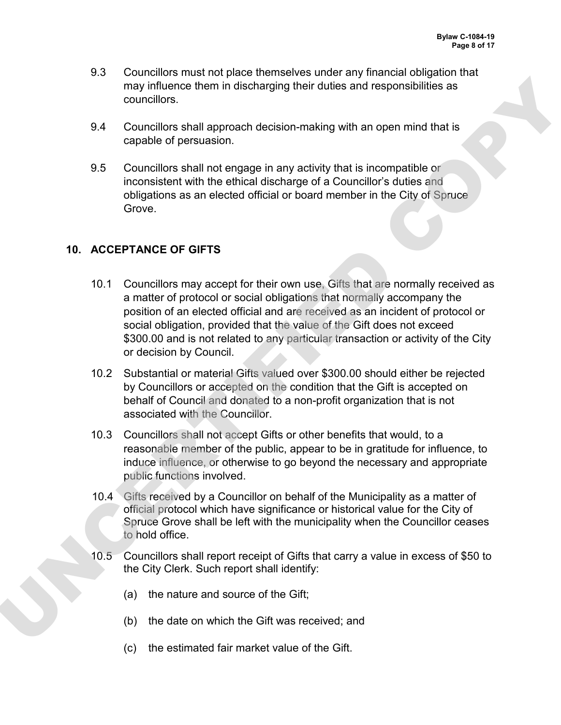- 9.3 Councillors must not place themselves under any financial obligation that may influence them in discharging their duties and responsibilities as councillors.
- 9.4 Councillors shall approach decision-making with an open mind that is capable of persuasion.
- 9.5 Councillors shall not engage in any activity that is incompatible or inconsistent with the ethical discharge of a Councillor's duties and obligations as an elected official or board member in the City of Spruce **Grove**

#### **10. ACCEPTANCE OF GIFTS**

- 10.1 Councillors may accept for their own use, Gifts that are normally received as a matter of protocol or social obligations that normally accompany the position of an elected official and are received as an incident of protocol or social obligation, provided that the value of the Gift does not exceed \$300.00 and is not related to any particular transaction or activity of the City or decision by Council. may influence them in discharging their duties and responsibilities as<br>councillors. Sall approach decisio-making with an open mind that is<br>depelde of persuasion.<br>B.C. Councillors shall and engage in any activity that is in
	- 10.2 Substantial or material Gifts valued over \$300.00 should either be rejected by Councillors or accepted on the condition that the Gift is accepted on behalf of Council and donated to a non-profit organization that is not associated with the Councillor.
	- 10.3 Councillors shall not accept Gifts or other benefits that would, to a reasonable member of the public, appear to be in gratitude for influence, to induce influence, or otherwise to go beyond the necessary and appropriate public functions involved.
	- 10.4 Gifts received by a Councillor on behalf of the Municipality as a matter of official protocol which have significance or historical value for the City of Spruce Grove shall be left with the municipality when the Councillor ceases to hold office.
	- 10.5 Councillors shall report receipt of Gifts that carry a value in excess of \$50 to the City Clerk. Such report shall identify:
		- (a) the nature and source of the Gift;
		- (b) the date on which the Gift was received; and
		- (c) the estimated fair market value of the Gift.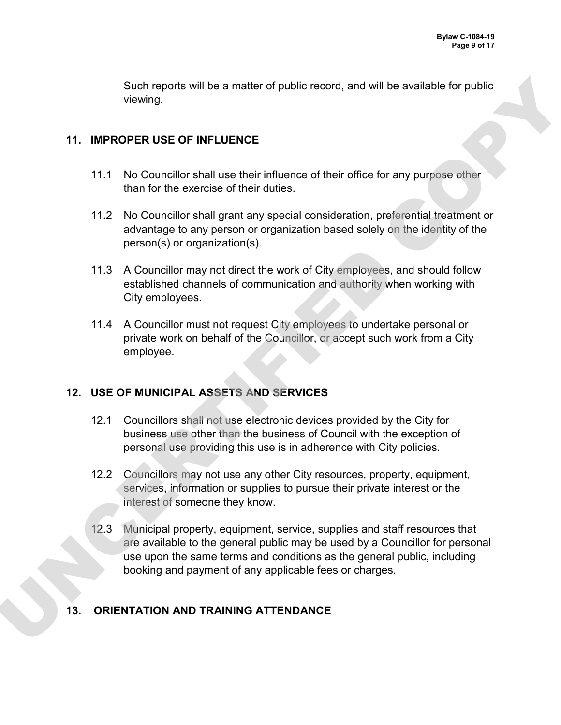Such reports will be a matter of public record, and will be available for public viewing.

### **11. IMPROPER USE OF INFLUENCE**

- 11.1 No Councillor shall use their influence of their office for any purpose other than for the exercise of their duties.
- 11.2 No Councillor shall grant any special consideration, preferential treatment or advantage to any person or organization based solely on the identity of the person(s) or organization(s).
- 11.3 A Councillor may not direct the work of City employees, and should follow established channels of communication and authority when working with City employees.
- 11.4 A Councillor must not request City employees to undertake personal or private work on behalf of the Councillor, or accept such work from a City employee.

### **12. USE OF MUNICIPAL ASSETS AND SERVICES**

- 12.1 Councillors shall not use electronic devices provided by the City for business use other than the business of Council with the exception of personal use providing this use is in adherence with City policies.
- 12.2 Councillors may not use any other City resources, property, equipment, services, information or supplies to pursue their private interest or the interest of someone they know.
- 12.3 Municipal property, equipment, service, supplies and staff resources that are available to the general public may be used by a Councillor for personal use upon the same terms and conditions as the general public, including booking and payment of any applicable fees or charges. Such reprofise the matter of public record, and will be available for public<br>viewing.<br>
11. IMPROPER USE OF INFLUENCE<br>
11.1 NO Councillor stell distribution the section of their diffuse check from purpose other<br>
11.2 No Cou

# **13. ORIENTATION AND TRAINING ATTENDANCE**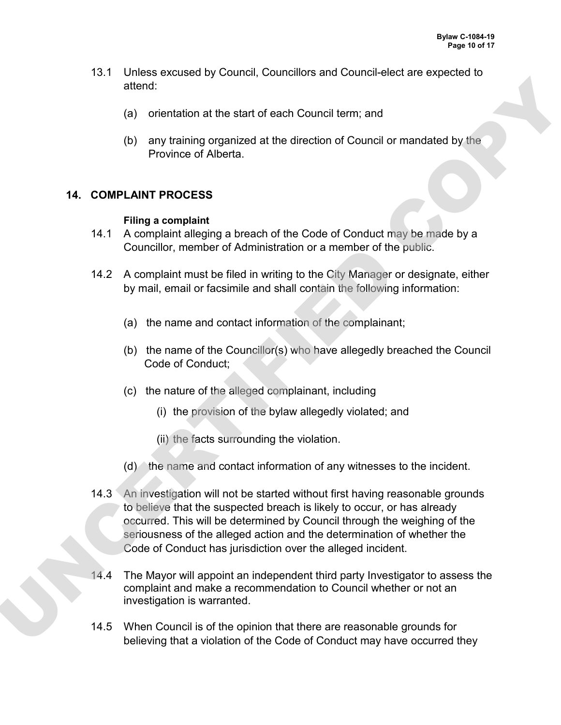- 13.1 Unless excused by Council, Councillors and Council-elect are expected to attend:
	- (a) orientation at the start of each Council term; and
	- (b) any training organized at the direction of Council or mandated by the Province of Alberta.

### **14. COMPLAINT PROCESS**

#### **Filing a complaint**

- 14.1 A complaint alleging a breach of the Code of Conduct may be made by a Councillor, member of Administration or a member of the public.
- 14.2 A complaint must be filed in writing to the City Manager or designate, either by mail, email or facsimile and shall contain the following information:
	- (a) the name and contact information of the complainant;
	- (b) the name of the Councillor(s) who have allegedly breached the Council Code of Conduct;
	- (c) the nature of the alleged complainant, including
		- (i) the provision of the bylaw allegedly violated; and
		- (ii) the facts surrounding the violation.
	- (d) the name and contact information of any witnesses to the incident.
- 14.3 An investigation will not be started without first having reasonable grounds to believe that the suspected breach is likely to occur, or has already occurred. This will be determined by Council through the weighing of the seriousness of the alleged action and the determination of whether the Code of Conduct has jurisdiction over the alleged incident. eterations of the start of each Council term; and<br>
(b) orientation at the start of each Council term; and<br>
(b) any training organized at the direction of Council or mandated by the<br>
Province of Alberta.<br>
The properties<br>
14
	- 14.4 The Mayor will appoint an independent third party Investigator to assess the complaint and make a recommendation to Council whether or not an investigation is warranted.
	- 14.5 When Council is of the opinion that there are reasonable grounds for believing that a violation of the Code of Conduct may have occurred they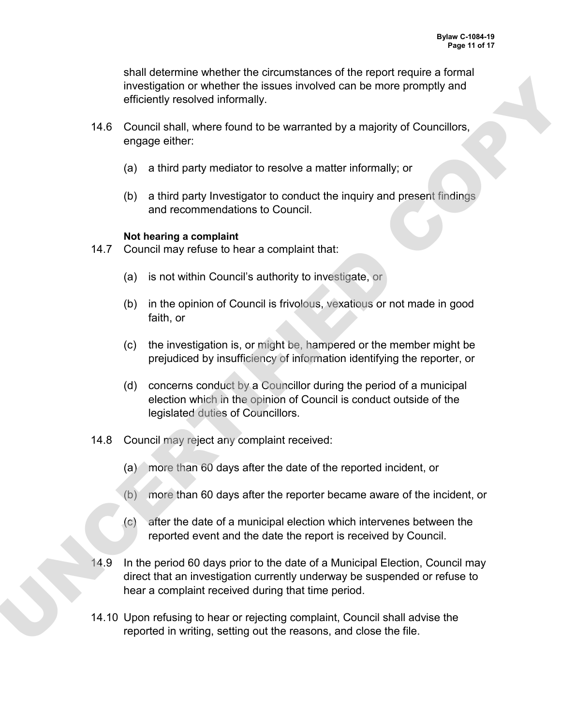shall determine whether the circumstances of the report require a formal investigation or whether the issues involved can be more promptly and efficiently resolved informally.

- 14.6 Council shall, where found to be warranted by a majority of Councillors, engage either:
	- (a) a third party mediator to resolve a matter informally; or
	- (b) a third party Investigator to conduct the inquiry and present findings and recommendations to Council.

#### **Not hearing a complaint**

- 14.7 Council may refuse to hear a complaint that:
	- (a) is not within Council's authority to investigate, or
	- (b) in the opinion of Council is frivolous, vexatious or not made in good faith, or
	- (c) the investigation is, or might be, hampered or the member might be prejudiced by insufficiency of information identifying the reporter, or
	- (d) concerns conduct by a Councillor during the period of a municipal election which in the opinion of Council is conduct outside of the legislated duties of Councillors.
- 14.8 Council may reject any complaint received:
	- (a) more than 60 days after the date of the reported incident, or
	- (b) more than 60 days after the reporter became aware of the incident, or
	- (c) after the date of a municipal election which intervenes between the reported event and the date the report is received by Council.
- 14.9 In the period 60 days prior to the date of a Municipal Election, Council may direct that an investigation currently underway be suspended or refuse to hear a complaint received during that time period. investigation or whenever the issues involved can be more promptly and<br>efficiently resolved informally.<br>
14.6 Council shall, where found to be warranted by a majority of Councillors,<br>
engage either:<br>
(a) a third party medi
	- 14.10 Upon refusing to hear or rejecting complaint, Council shall advise the reported in writing, setting out the reasons, and close the file.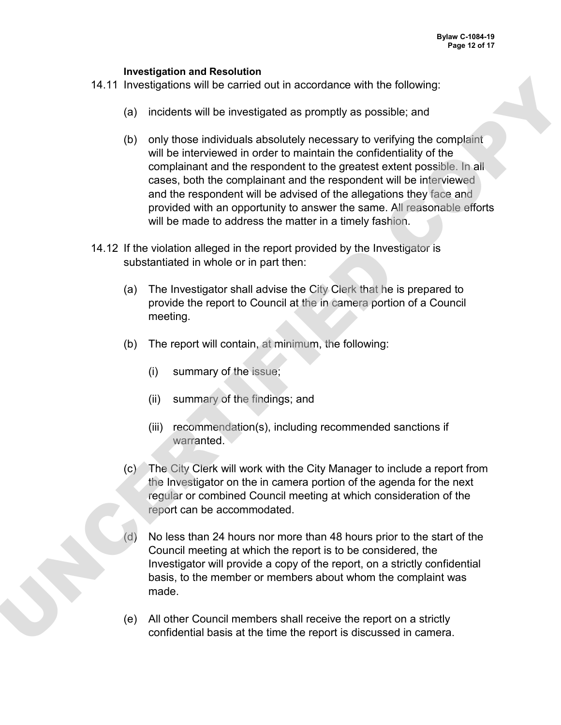#### **Investigation and Resolution**

- 14.11 Investigations will be carried out in accordance with the following:
	- (a) incidents will be investigated as promptly as possible; and
- (b) only those individuals absolutely necessary to verifying the complaint will be interviewed in order to maintain the confidentiality of the complainant and the respondent to the greatest extent possible. In all cases, both the complainant and the respondent will be interviewed and the respondent will be advised of the allegations they face and provided with an opportunity to answer the same. All reasonable efforts will be made to address the matter in a timely fashion. 14.11 Investigations will be carried out in accordance with the following:<br>
(a) incidents will be interventigated as promptly as possible; and<br>
(b) only those individuals absolutely necessary to restrict the communisment<br>
	- 14.12 If the violation alleged in the report provided by the Investigator is substantiated in whole or in part then:
		- (a) The Investigator shall advise the City Clerk that he is prepared to provide the report to Council at the in camera portion of a Council meeting.
		- (b) The report will contain, at minimum, the following:
			- (i) summary of the issue;
			- (ii) summary of the findings; and
			- (iii) recommendation(s), including recommended sanctions if warranted.
		- (c) The City Clerk will work with the City Manager to include a report from the Investigator on the in camera portion of the agenda for the next regular or combined Council meeting at which consideration of the report can be accommodated.
		- (d) No less than 24 hours nor more than 48 hours prior to the start of the Council meeting at which the report is to be considered, the Investigator will provide a copy of the report, on a strictly confidential basis, to the member or members about whom the complaint was made.
		- (e) All other Council members shall receive the report on a strictly confidential basis at the time the report is discussed in camera.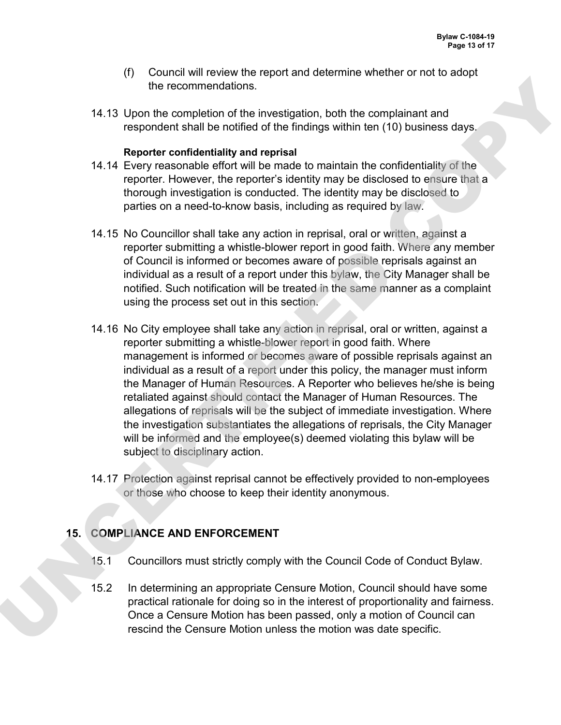- (f) Council will review the report and determine whether or not to adopt the recommendations.
- 14.13 Upon the completion of the investigation, both the complainant and respondent shall be notified of the findings within ten (10) business days.

#### **Reporter confidentiality and reprisal**

- 14.14 Every reasonable effort will be made to maintain the confidentiality of the reporter. However, the reporter's identity may be disclosed to ensure that a thorough investigation is conducted. The identity may be disclosed to parties on a need-to-know basis, including as required by law.
- 14.15 No Councillor shall take any action in reprisal, oral or written, against a reporter submitting a whistle-blower report in good faith. Where any member of Council is informed or becomes aware of possible reprisals against an individual as a result of a report under this bylaw, the City Manager shall be notified. Such notification will be treated in the same manner as a complaint using the process set out in this section.
- 14.16 No City employee shall take any action in reprisal, oral or written, against a reporter submitting a whistle-blower report in good faith. Where management is informed or becomes aware of possible reprisals against an individual as a result of a report under this policy, the manager must inform the Manager of Human Resources. A Reporter who believes he/she is being retaliated against should contact the Manager of Human Resources. The allegations of reprisals will be the subject of immediate investigation. Where the investigation substantiates the allegations of reprisals, the City Manager will be informed and the employee(s) deemed violating this bylaw will be subject to disciplinary action. The recommendations<br>
14.13 Upon the completion of the investigation, both the complement and<br>
respondent shall be notified of the finding within ten (10) business days<br>
14.14 Feory reasonable effort will be made to maintai
	- 14.17 Protection against reprisal cannot be effectively provided to non-employees or those who choose to keep their identity anonymous.

# **15. COMPLIANCE AND ENFORCEMENT**

- 15.1 Councillors must strictly comply with the Council Code of Conduct Bylaw.
- 15.2 In determining an appropriate Censure Motion, Council should have some practical rationale for doing so in the interest of proportionality and fairness. Once a Censure Motion has been passed, only a motion of Council can rescind the Censure Motion unless the motion was date specific.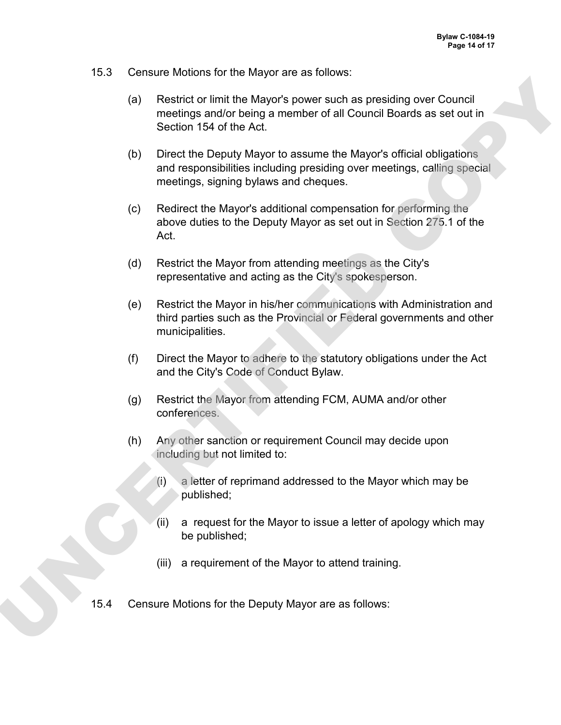- 15.3 Censure Motions for the Mayor are as follows:
	- (a) Restrict or limit the Mayor's power such as presiding over Council meetings and/or being a member of all Council Boards as set out in Section 154 of the Act.
	- (b) Direct the Deputy Mayor to assume the Mayor's official obligations and responsibilities including presiding over meetings, calling special meetings, signing bylaws and cheques.
	- (c) Redirect the Mayor's additional compensation for performing the above duties to the Deputy Mayor as set out in Section 275.1 of the Act.
	- (d) Restrict the Mayor from attending meetings as the City's representative and acting as the City's spokesperson.
- (e) Restrict the Mayor in his/her communications with Administration and third parties such as the Provincial or Federal governments and other municipalities. (a) Restrict or limit the Mayor's power such as presiding over Council<br>
meetings and<br>
Section 194 of the Act.<br>
(b) Direct the Deputy Mayor to assume the Mayor's official obligations<br>
and responsibilities including presidin
	- (f) Direct the Mayor to adhere to the statutory obligations under the Act and the City's Code of Conduct Bylaw.
	- (g) Restrict the Mayor from attending FCM, AUMA and/or other conferences.
	- (h) Any other sanction or requirement Council may decide upon including but not limited to:
		- $(i)$  a letter of reprimand addressed to the Mayor which may be published;
		- (ii) a request for the Mayor to issue a letter of apology which may be published;
		- (iii) a requirement of the Mayor to attend training.
	- 15.4 Censure Motions for the Deputy Mayor are as follows: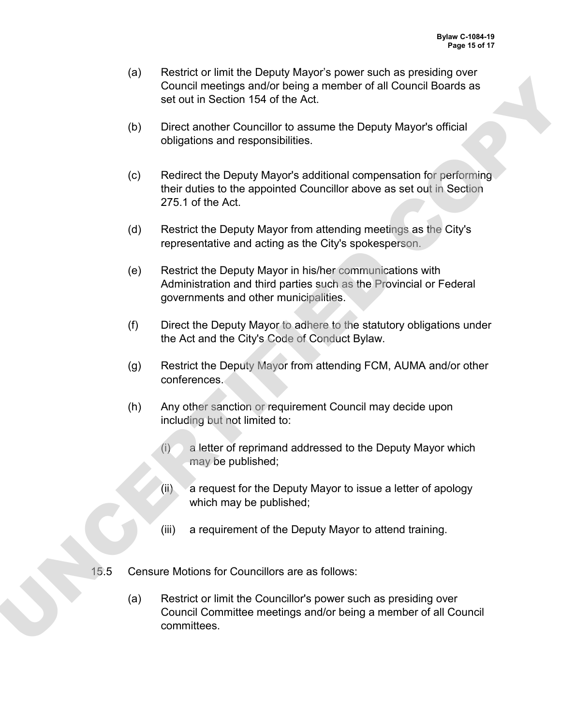- (a) Restrict or limit the Deputy Mayor's power such as presiding over Council meetings and/or being a member of all Council Boards as set out in Section 154 of the Act.
- (b) Direct another Councillor to assume the Deputy Mayor's official obligations and responsibilities.
- (c) Redirect the Deputy Mayor's additional compensation for performing their duties to the appointed Councillor above as set out in Section 275.1 of the Act. Counter methods and/or ferrog amelian entreprenent of all council boards as<br>set out in Section 154 of the Act.<br>(b) Direct another Councillor to assume the Deputy Mayor's official<br>obligations and responsibilities.<br>(c) Redir
	- (d) Restrict the Deputy Mayor from attending meetings as the City's representative and acting as the City's spokesperson.
	- (e) Restrict the Deputy Mayor in his/her communications with Administration and third parties such as the Provincial or Federal governments and other municipalities.
	- (f) Direct the Deputy Mayor to adhere to the statutory obligations under the Act and the City's Code of Conduct Bylaw.
	- (g) Restrict the Deputy Mayor from attending FCM, AUMA and/or other conferences.
	- (h) Any other sanction or requirement Council may decide upon including but not limited to:
		- $(i)$  a letter of reprimand addressed to the Deputy Mayor which may be published;
		- (ii) a request for the Deputy Mayor to issue a letter of apology which may be published;
		- (iii) a requirement of the Deputy Mayor to attend training.
	- 15.5 Censure Motions for Councillors are as follows:
		- (a) Restrict or limit the Councillor's power such as presiding over Council Committee meetings and/or being a member of all Council committees.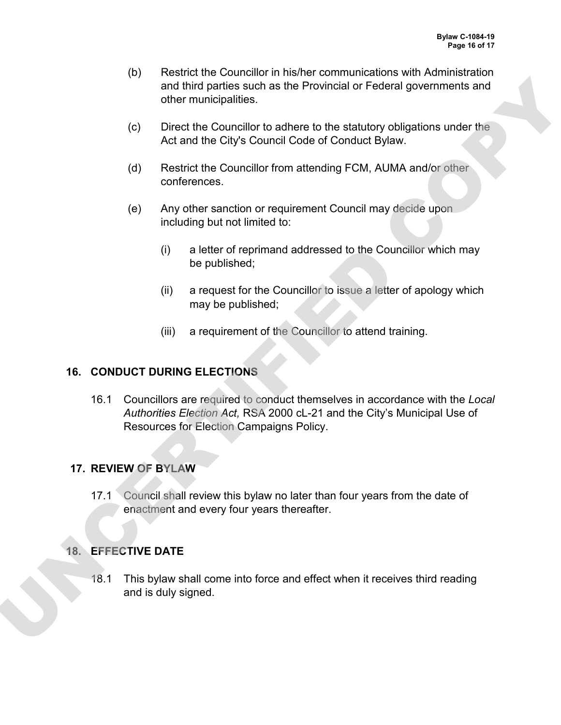- (b) Restrict the Councillor in his/her communications with Administration and third parties such as the Provincial or Federal governments and other municipalities.
- (c) Direct the Councillor to adhere to the statutory obligations under the Act and the City's Council Code of Conduct Bylaw.
- (d) Restrict the Councillor from attending FCM, AUMA and/or other conferences.
- (e) Any other sanction or requirement Council may decide upon including but not limited to:
	- (i) a letter of reprimand addressed to the Councillor which may be published;
	- (ii) a request for the Councillor to issue a letter of apology which may be published;
	- (iii) a requirement of the Councillor to attend training.

### **16. CONDUCT DURING ELECTIONS**

16.1 Councillors are required to conduct themselves in accordance with the *Local Authorities Election Act,* RSA 2000 cL-21 and the City's Municipal Use of Resources for Election Campaigns Policy. or the municipalities.<br>
Sand thrier municipalities.<br>
(c) Direct the Councilloot to achere to the standard or Federal governments and<br>
(c) Direct the Councilloot to achere to the standard policy obligations under the<br>
Act a

### **17. REVIEW OF BYLAW**

17.1 Council shall review this bylaw no later than four years from the date of enactment and every four years thereafter.

### **18. EFFECTIVE DATE**

18.1 This bylaw shall come into force and effect when it receives third reading and is duly signed.